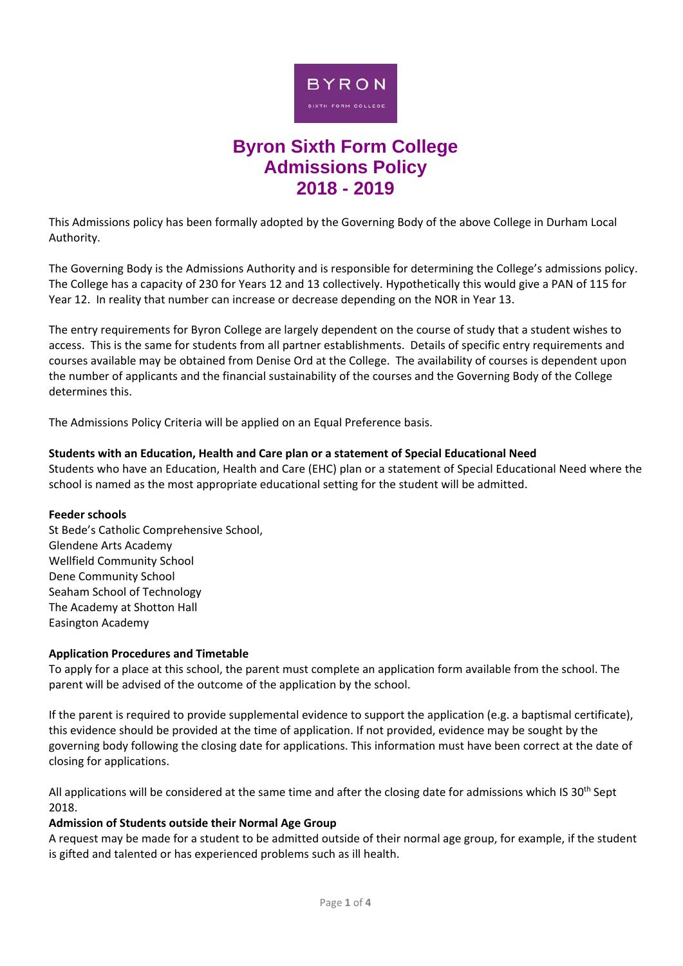

# **Byron Sixth Form College Admissions Policy 2018 - 2019**

This Admissions policy has been formally adopted by the Governing Body of the above College in Durham Local Authority.

The Governing Body is the Admissions Authority and is responsible for determining the College's admissions policy. The College has a capacity of 230 for Years 12 and 13 collectively. Hypothetically this would give a PAN of 115 for Year 12. In reality that number can increase or decrease depending on the NOR in Year 13.

The entry requirements for Byron College are largely dependent on the course of study that a student wishes to access. This is the same for students from all partner establishments. Details of specific entry requirements and courses available may be obtained from Denise Ord at the College. The availability of courses is dependent upon the number of applicants and the financial sustainability of the courses and the Governing Body of the College determines this.

The Admissions Policy Criteria will be applied on an Equal Preference basis.

## **Students with an Education, Health and Care plan or a statement of Special Educational Need**

Students who have an Education, Health and Care (EHC) plan or a statement of Special Educational Need where the school is named as the most appropriate educational setting for the student will be admitted.

## **Feeder schools**

St Bede's Catholic Comprehensive School, Glendene Arts Academy Wellfield Community School Dene Community School Seaham School of Technology The Academy at Shotton Hall Easington Academy

# **Application Procedures and Timetable**

To apply for a place at this school, the parent must complete an application form available from the school. The parent will be advised of the outcome of the application by the school.

If the parent is required to provide supplemental evidence to support the application (e.g. a baptismal certificate), this evidence should be provided at the time of application. If not provided, evidence may be sought by the governing body following the closing date for applications. This information must have been correct at the date of closing for applications.

All applications will be considered at the same time and after the closing date for admissions which IS 30<sup>th</sup> Sept 2018.

## **Admission of Students outside their Normal Age Group**

A request may be made for a student to be admitted outside of their normal age group, for example, if the student is gifted and talented or has experienced problems such as ill health.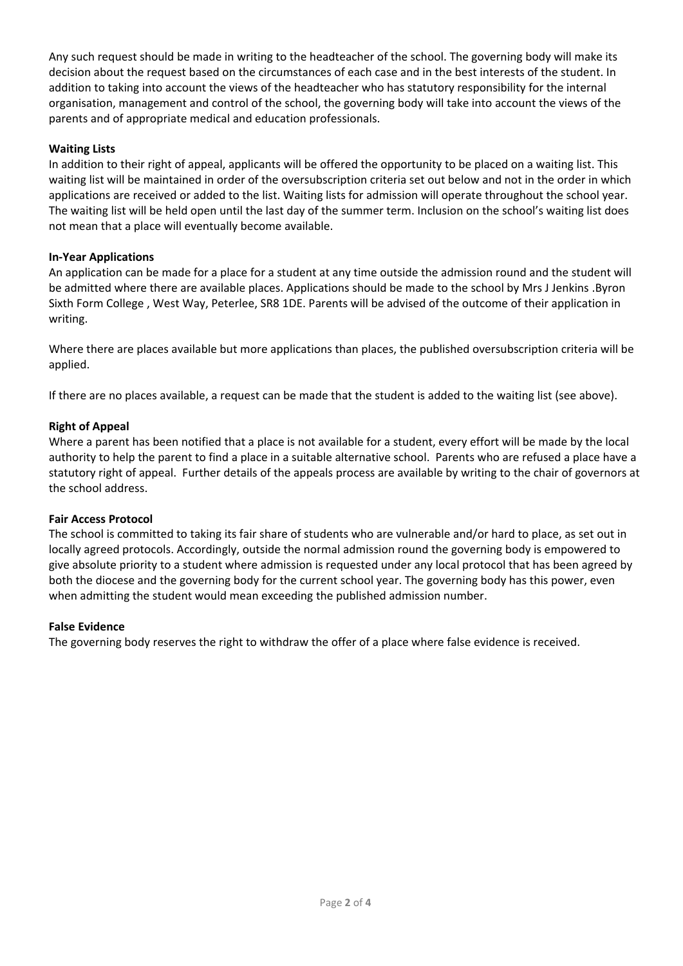Any such request should be made in writing to the headteacher of the school. The governing body will make its decision about the request based on the circumstances of each case and in the best interests of the student. In addition to taking into account the views of the headteacher who has statutory responsibility for the internal organisation, management and control of the school, the governing body will take into account the views of the parents and of appropriate medical and education professionals.

# **Waiting Lists**

In addition to their right of appeal, applicants will be offered the opportunity to be placed on a waiting list. This waiting list will be maintained in order of the oversubscription criteria set out below and not in the order in which applications are received or added to the list. Waiting lists for admission will operate throughout the school year. The waiting list will be held open until the last day of the summer term. Inclusion on the school's waiting list does not mean that a place will eventually become available.

# **In‐Year Applications**

An application can be made for a place for a student at any time outside the admission round and the student will be admitted where there are available places. Applications should be made to the school by Mrs J Jenkins .Byron Sixth Form College , West Way, Peterlee, SR8 1DE. Parents will be advised of the outcome of their application in writing.

Where there are places available but more applications than places, the published oversubscription criteria will be applied.

If there are no places available, a request can be made that the student is added to the waiting list (see above).

## **Right of Appeal**

Where a parent has been notified that a place is not available for a student, every effort will be made by the local authority to help the parent to find a place in a suitable alternative school. Parents who are refused a place have a statutory right of appeal. Further details of the appeals process are available by writing to the chair of governors at the school address.

## **Fair Access Protocol**

The school is committed to taking its fair share of students who are vulnerable and/or hard to place, as set out in locally agreed protocols. Accordingly, outside the normal admission round the governing body is empowered to give absolute priority to a student where admission is requested under any local protocol that has been agreed by both the diocese and the governing body for the current school year. The governing body has this power, even when admitting the student would mean exceeding the published admission number.

## **False Evidence**

The governing body reserves the right to withdraw the offer of a place where false evidence is received.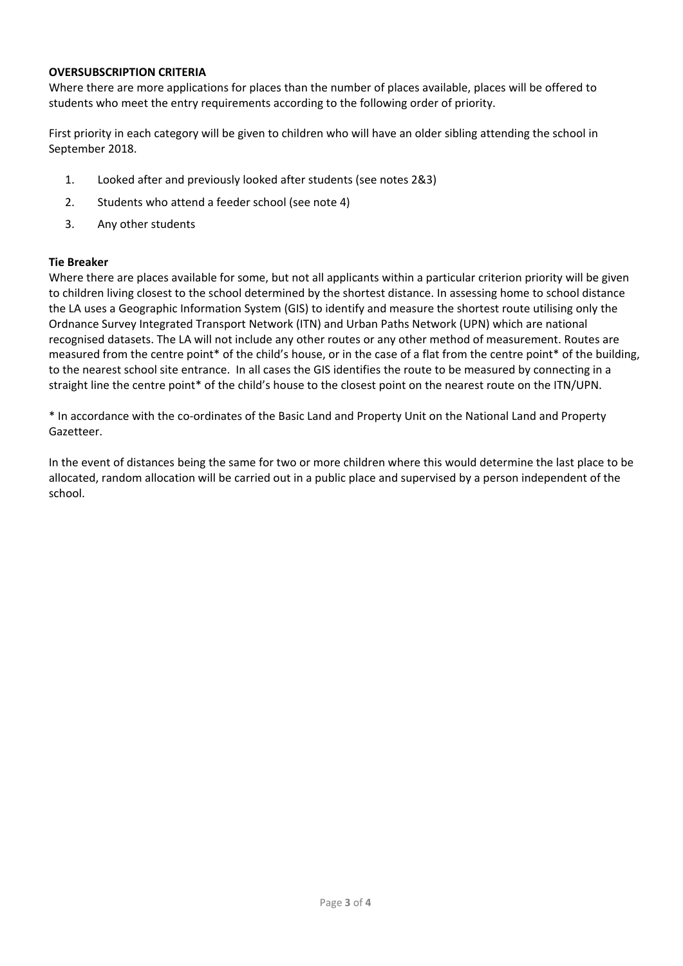## **OVERSUBSCRIPTION CRITERIA**

Where there are more applications for places than the number of places available, places will be offered to students who meet the entry requirements according to the following order of priority.

First priority in each category will be given to children who will have an older sibling attending the school in September 2018.

- 1. Looked after and previously looked after students (see notes 2&3)
- 2. Students who attend a feeder school (see note 4)
- 3. Any other students

## **Tie Breaker**

Where there are places available for some, but not all applicants within a particular criterion priority will be given to children living closest to the school determined by the shortest distance. In assessing home to school distance the LA uses a Geographic Information System (GIS) to identify and measure the shortest route utilising only the Ordnance Survey Integrated Transport Network (ITN) and Urban Paths Network (UPN) which are national recognised datasets. The LA will not include any other routes or any other method of measurement. Routes are measured from the centre point\* of the child's house, or in the case of a flat from the centre point\* of the building, to the nearest school site entrance. In all cases the GIS identifies the route to be measured by connecting in a straight line the centre point\* of the child's house to the closest point on the nearest route on the ITN/UPN.

\* In accordance with the co‐ordinates of the Basic Land and Property Unit on the National Land and Property Gazetteer.

In the event of distances being the same for two or more children where this would determine the last place to be allocated, random allocation will be carried out in a public place and supervised by a person independent of the school.